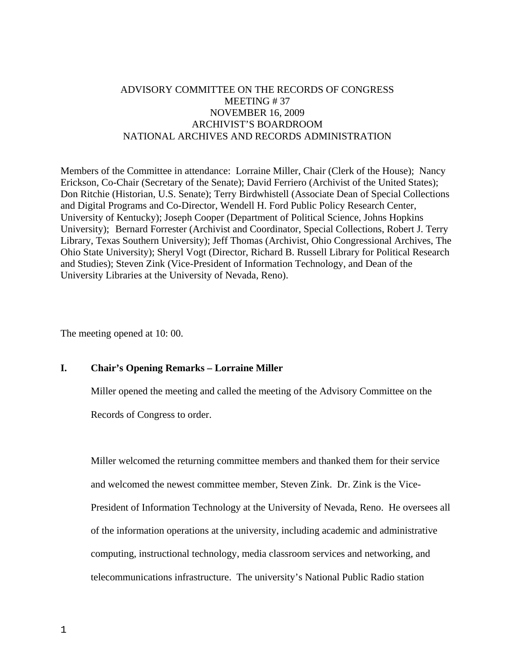# ADVISORY COMMITTEE ON THE RECORDS OF CONGRESS MEETING # 37 NOVEMBER 16, 2009 ARCHIVIST'S BOARDROOM NATIONAL ARCHIVES AND RECORDS ADMINISTRATION

Members of the Committee in attendance: Lorraine Miller, Chair (Clerk of the House); Nancy Erickson, Co-Chair (Secretary of the Senate); David Ferriero (Archivist of the United States); Don Ritchie (Historian, U.S. Senate); Terry Birdwhistell (Associate Dean of Special Collections and Digital Programs and Co-Director, Wendell H. Ford Public Policy Research Center, University of Kentucky); Joseph Cooper (Department of Political Science, Johns Hopkins University); Bernard Forrester (Archivist and Coordinator, Special Collections, Robert J. Terry Library, Texas Southern University); Jeff Thomas (Archivist, Ohio Congressional Archives, The Ohio State University); Sheryl Vogt (Director, Richard B. Russell Library for Political Research and Studies); Steven Zink (Vice-President of Information Technology, and Dean of the University Libraries at the University of Nevada, Reno).

The meeting opened at 10: 00.

## **I. Chair's Opening Remarks – Lorraine Miller**

Miller opened the meeting and called the meeting of the Advisory Committee on the

Records of Congress to order.

Miller welcomed the returning committee members and thanked them for their service and welcomed the newest committee member, Steven Zink. Dr. Zink is the Vice-President of Information Technology at the University of Nevada, Reno. He oversees all of the information operations at the university, including academic and administrative computing, instructional technology, media classroom services and networking, and telecommunications infrastructure. The university's National Public Radio station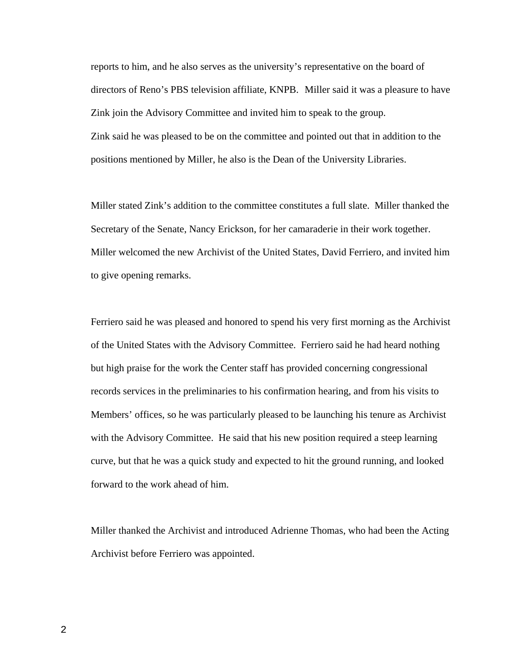reports to him, and he also serves as the university's representative on the board of directors of Reno's PBS television affiliate, KNPB. Miller said it was a pleasure to have Zink join the Advisory Committee and invited him to speak to the group. Zink said he was pleased to be on the committee and pointed out that in addition to the positions mentioned by Miller, he also is the Dean of the University Libraries.

Miller stated Zink's addition to the committee constitutes a full slate. Miller thanked the Secretary of the Senate, Nancy Erickson, for her camaraderie in their work together. Miller welcomed the new Archivist of the United States, David Ferriero, and invited him to give opening remarks.

Ferriero said he was pleased and honored to spend his very first morning as the Archivist of the United States with the Advisory Committee. Ferriero said he had heard nothing but high praise for the work the Center staff has provided concerning congressional records services in the preliminaries to his confirmation hearing, and from his visits to Members' offices, so he was particularly pleased to be launching his tenure as Archivist with the Advisory Committee. He said that his new position required a steep learning curve, but that he was a quick study and expected to hit the ground running, and looked forward to the work ahead of him.

Miller thanked the Archivist and introduced Adrienne Thomas, who had been the Acting Archivist before Ferriero was appointed.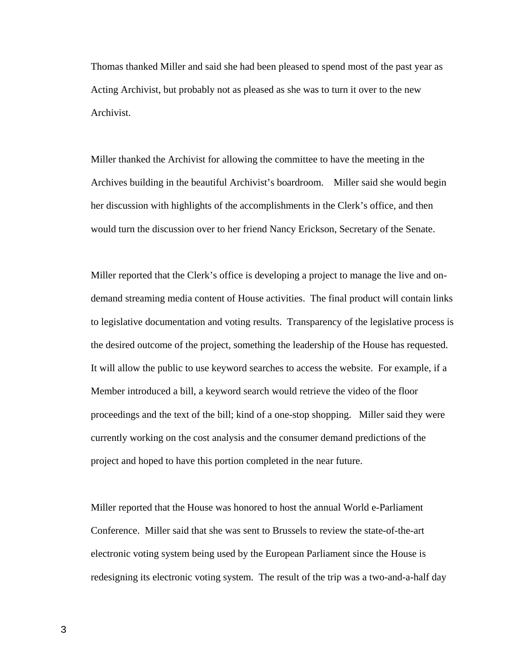Thomas thanked Miller and said she had been pleased to spend most of the past year as Acting Archivist, but probably not as pleased as she was to turn it over to the new Archivist.

Miller thanked the Archivist for allowing the committee to have the meeting in the Archives building in the beautiful Archivist's boardroom. Miller said she would begin her discussion with highlights of the accomplishments in the Clerk's office, and then would turn the discussion over to her friend Nancy Erickson, Secretary of the Senate.

Miller reported that the Clerk's office is developing a project to manage the live and ondemand streaming media content of House activities. The final product will contain links to legislative documentation and voting results. Transparency of the legislative process is the desired outcome of the project, something the leadership of the House has requested. It will allow the public to use keyword searches to access the website. For example, if a Member introduced a bill, a keyword search would retrieve the video of the floor proceedings and the text of the bill; kind of a one-stop shopping. Miller said they were currently working on the cost analysis and the consumer demand predictions of the project and hoped to have this portion completed in the near future.

Miller reported that the House was honored to host the annual World e-Parliament Conference. Miller said that she was sent to Brussels to review the state-of-the-art electronic voting system being used by the European Parliament since the House is redesigning its electronic voting system. The result of the trip was a two-and-a-half day

3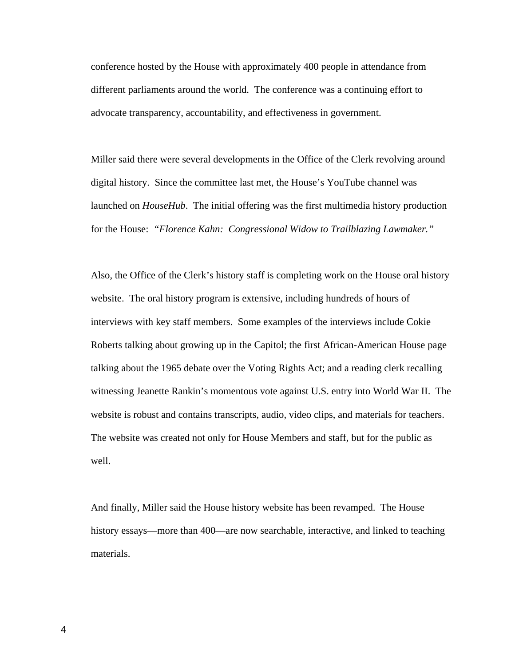conference hosted by the House with approximately 400 people in attendance from different parliaments around the world. The conference was a continuing effort to advocate transparency, accountability, and effectiveness in government.

Miller said there were several developments in the Office of the Clerk revolving around digital history. Since the committee last met, the House's YouTube channel was launched on *HouseHub*. The initial offering was the first multimedia history production for the House: *"Florence Kahn: Congressional Widow to Trailblazing Lawmaker."*

Also, the Office of the Clerk's history staff is completing work on the House oral history website. The oral history program is extensive, including hundreds of hours of interviews with key staff members. Some examples of the interviews include Cokie Roberts talking about growing up in the Capitol; the first African-American House page talking about the 1965 debate over the Voting Rights Act; and a reading clerk recalling witnessing Jeanette Rankin's momentous vote against U.S. entry into World War II. The website is robust and contains transcripts, audio, video clips, and materials for teachers. The website was created not only for House Members and staff, but for the public as well.

And finally, Miller said the House history website has been revamped. The House history essays—more than 400—are now searchable, interactive, and linked to teaching materials.

4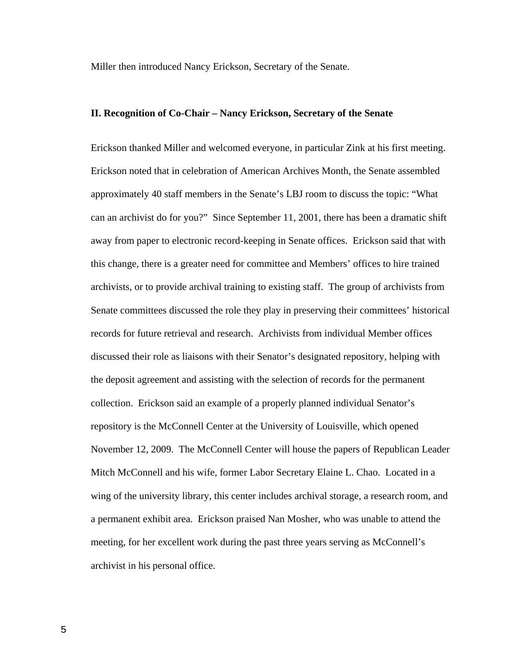Miller then introduced Nancy Erickson, Secretary of the Senate.

#### **II. Recognition of Co-Chair – Nancy Erickson, Secretary of the Senate**

Erickson thanked Miller and welcomed everyone, in particular Zink at his first meeting. Erickson noted that in celebration of American Archives Month, the Senate assembled approximately 40 staff members in the Senate's LBJ room to discuss the topic: "What can an archivist do for you?" Since September 11, 2001, there has been a dramatic shift away from paper to electronic record-keeping in Senate offices. Erickson said that with this change, there is a greater need for committee and Members' offices to hire trained archivists, or to provide archival training to existing staff. The group of archivists from Senate committees discussed the role they play in preserving their committees' historical records for future retrieval and research. Archivists from individual Member offices discussed their role as liaisons with their Senator's designated repository, helping with the deposit agreement and assisting with the selection of records for the permanent collection. Erickson said an example of a properly planned individual Senator's repository is the McConnell Center at the University of Louisville, which opened November 12, 2009. The McConnell Center will house the papers of Republican Leader Mitch McConnell and his wife, former Labor Secretary Elaine L. Chao. Located in a wing of the university library, this center includes archival storage, a research room, and a permanent exhibit area. Erickson praised Nan Mosher, who was unable to attend the meeting, for her excellent work during the past three years serving as McConnell's archivist in his personal office.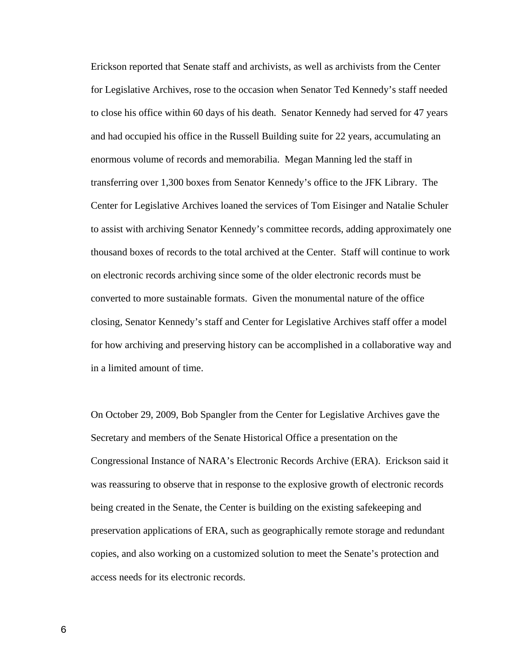Erickson reported that Senate staff and archivists, as well as archivists from the Center for Legislative Archives, rose to the occasion when Senator Ted Kennedy's staff needed to close his office within 60 days of his death. Senator Kennedy had served for 47 years and had occupied his office in the Russell Building suite for 22 years, accumulating an enormous volume of records and memorabilia. Megan Manning led the staff in transferring over 1,300 boxes from Senator Kennedy's office to the JFK Library. The Center for Legislative Archives loaned the services of Tom Eisinger and Natalie Schuler to assist with archiving Senator Kennedy's committee records, adding approximately one thousand boxes of records to the total archived at the Center. Staff will continue to work on electronic records archiving since some of the older electronic records must be converted to more sustainable formats. Given the monumental nature of the office closing, Senator Kennedy's staff and Center for Legislative Archives staff offer a model for how archiving and preserving history can be accomplished in a collaborative way and in a limited amount of time.

On October 29, 2009, Bob Spangler from the Center for Legislative Archives gave the Secretary and members of the Senate Historical Office a presentation on the Congressional Instance of NARA's Electronic Records Archive (ERA). Erickson said it was reassuring to observe that in response to the explosive growth of electronic records being created in the Senate, the Center is building on the existing safekeeping and preservation applications of ERA, such as geographically remote storage and redundant copies, and also working on a customized solution to meet the Senate's protection and access needs for its electronic records.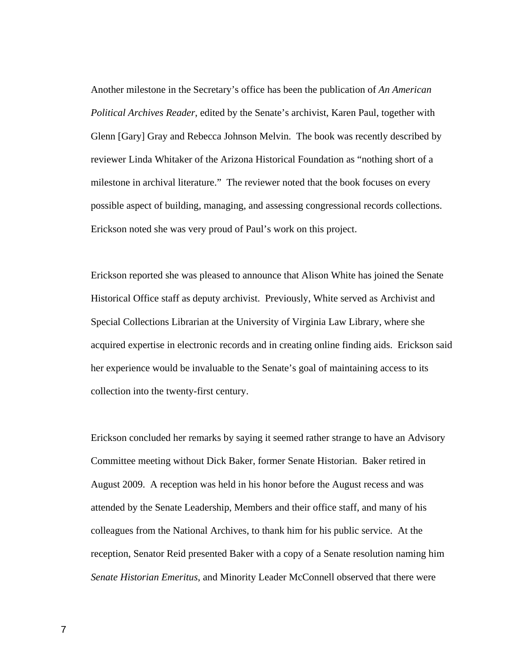Another milestone in the Secretary's office has been the publication of *An American Political Archives Reader*, edited by the Senate's archivist, Karen Paul, together with Glenn [Gary] Gray and Rebecca Johnson Melvin. The book was recently described by reviewer Linda Whitaker of the Arizona Historical Foundation as "nothing short of a milestone in archival literature." The reviewer noted that the book focuses on every possible aspect of building, managing, and assessing congressional records collections. Erickson noted she was very proud of Paul's work on this project.

Erickson reported she was pleased to announce that Alison White has joined the Senate Historical Office staff as deputy archivist. Previously, White served as Archivist and Special Collections Librarian at the University of Virginia Law Library, where she acquired expertise in electronic records and in creating online finding aids. Erickson said her experience would be invaluable to the Senate's goal of maintaining access to its collection into the twenty-first century.

Erickson concluded her remarks by saying it seemed rather strange to have an Advisory Committee meeting without Dick Baker, former Senate Historian. Baker retired in August 2009. A reception was held in his honor before the August recess and was attended by the Senate Leadership, Members and their office staff, and many of his colleagues from the National Archives, to thank him for his public service. At the reception, Senator Reid presented Baker with a copy of a Senate resolution naming him *Senate Historian Emeritus*, and Minority Leader McConnell observed that there were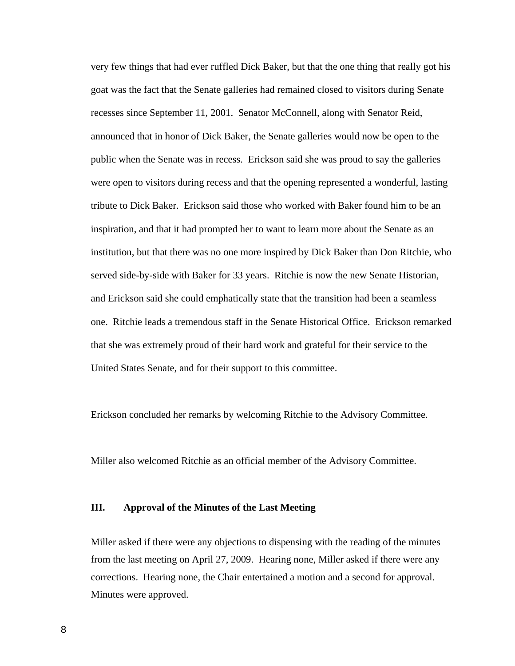very few things that had ever ruffled Dick Baker, but that the one thing that really got his goat was the fact that the Senate galleries had remained closed to visitors during Senate recesses since September 11, 2001. Senator McConnell, along with Senator Reid, announced that in honor of Dick Baker, the Senate galleries would now be open to the public when the Senate was in recess. Erickson said she was proud to say the galleries were open to visitors during recess and that the opening represented a wonderful, lasting tribute to Dick Baker. Erickson said those who worked with Baker found him to be an inspiration, and that it had prompted her to want to learn more about the Senate as an institution, but that there was no one more inspired by Dick Baker than Don Ritchie, who served side-by-side with Baker for 33 years. Ritchie is now the new Senate Historian, and Erickson said she could emphatically state that the transition had been a seamless one. Ritchie leads a tremendous staff in the Senate Historical Office. Erickson remarked that she was extremely proud of their hard work and grateful for their service to the United States Senate, and for their support to this committee.

Erickson concluded her remarks by welcoming Ritchie to the Advisory Committee.

Miller also welcomed Ritchie as an official member of the Advisory Committee.

#### **III. Approval of the Minutes of the Last Meeting**

Miller asked if there were any objections to dispensing with the reading of the minutes from the last meeting on April 27, 2009. Hearing none, Miller asked if there were any corrections. Hearing none, the Chair entertained a motion and a second for approval. Minutes were approved.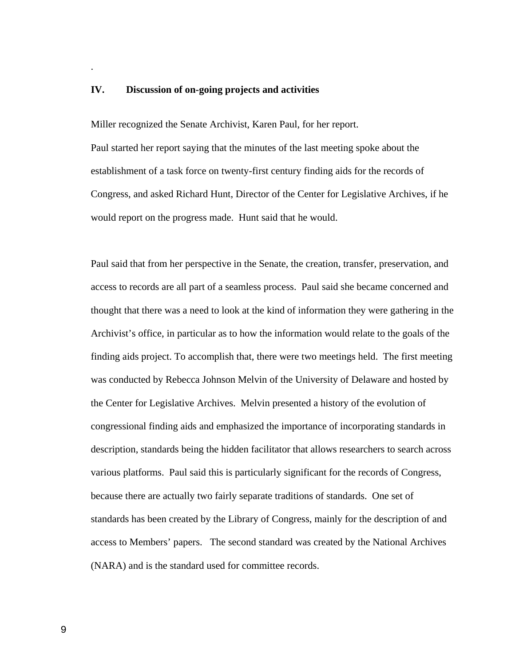### **IV. Discussion of on-going projects and activities**

.

Miller recognized the Senate Archivist, Karen Paul, for her report.

Paul started her report saying that the minutes of the last meeting spoke about the establishment of a task force on twenty-first century finding aids for the records of Congress, and asked Richard Hunt, Director of the Center for Legislative Archives, if he would report on the progress made. Hunt said that he would.

Paul said that from her perspective in the Senate, the creation, transfer, preservation, and access to records are all part of a seamless process. Paul said she became concerned and thought that there was a need to look at the kind of information they were gathering in the Archivist's office, in particular as to how the information would relate to the goals of the finding aids project. To accomplish that, there were two meetings held. The first meeting was conducted by Rebecca Johnson Melvin of the University of Delaware and hosted by the Center for Legislative Archives. Melvin presented a history of the evolution of congressional finding aids and emphasized the importance of incorporating standards in description, standards being the hidden facilitator that allows researchers to search across various platforms. Paul said this is particularly significant for the records of Congress, because there are actually two fairly separate traditions of standards. One set of standards has been created by the Library of Congress, mainly for the description of and access to Members' papers. The second standard was created by the National Archives (NARA) and is the standard used for committee records.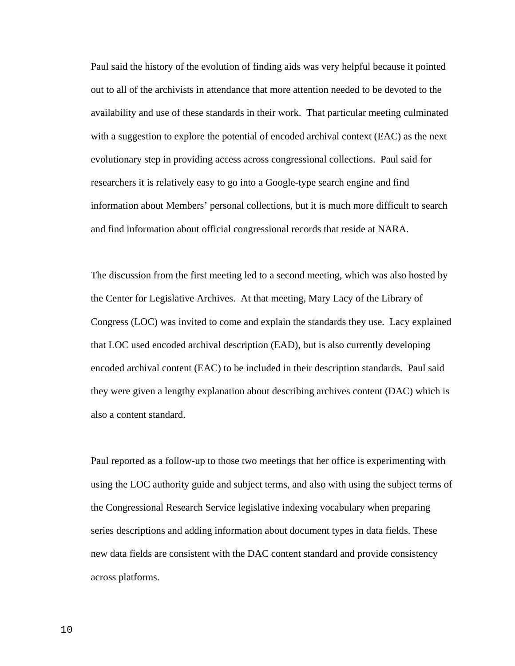Paul said the history of the evolution of finding aids was very helpful because it pointed out to all of the archivists in attendance that more attention needed to be devoted to the availability and use of these standards in their work. That particular meeting culminated with a suggestion to explore the potential of encoded archival context (EAC) as the next evolutionary step in providing access across congressional collections. Paul said for researchers it is relatively easy to go into a Google-type search engine and find information about Members' personal collections, but it is much more difficult to search and find information about official congressional records that reside at NARA.

The discussion from the first meeting led to a second meeting, which was also hosted by the Center for Legislative Archives. At that meeting, Mary Lacy of the Library of Congress (LOC) was invited to come and explain the standards they use. Lacy explained that LOC used encoded archival description (EAD), but is also currently developing encoded archival content (EAC) to be included in their description standards. Paul said they were given a lengthy explanation about describing archives content (DAC) which is also a content standard.

Paul reported as a follow-up to those two meetings that her office is experimenting with using the LOC authority guide and subject terms, and also with using the subject terms of the Congressional Research Service legislative indexing vocabulary when preparing series descriptions and adding information about document types in data fields. These new data fields are consistent with the DAC content standard and provide consistency across platforms.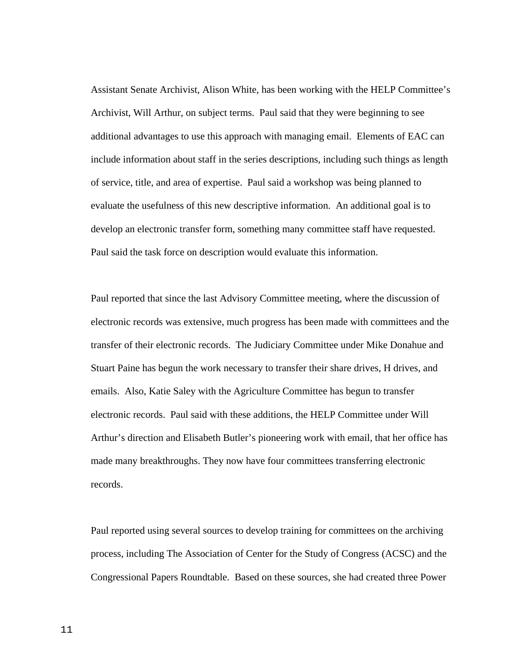Assistant Senate Archivist, Alison White, has been working with the HELP Committee's Archivist, Will Arthur, on subject terms. Paul said that they were beginning to see additional advantages to use this approach with managing email. Elements of EAC can include information about staff in the series descriptions, including such things as length of service, title, and area of expertise. Paul said a workshop was being planned to evaluate the usefulness of this new descriptive information. An additional goal is to develop an electronic transfer form, something many committee staff have requested. Paul said the task force on description would evaluate this information.

Paul reported that since the last Advisory Committee meeting, where the discussion of electronic records was extensive, much progress has been made with committees and the transfer of their electronic records. The Judiciary Committee under Mike Donahue and Stuart Paine has begun the work necessary to transfer their share drives, H drives, and emails. Also, Katie Saley with the Agriculture Committee has begun to transfer electronic records. Paul said with these additions, the HELP Committee under Will Arthur's direction and Elisabeth Butler's pioneering work with email, that her office has made many breakthroughs. They now have four committees transferring electronic records.

Paul reported using several sources to develop training for committees on the archiving process, including The Association of Center for the Study of Congress (ACSC) and the Congressional Papers Roundtable. Based on these sources, she had created three Power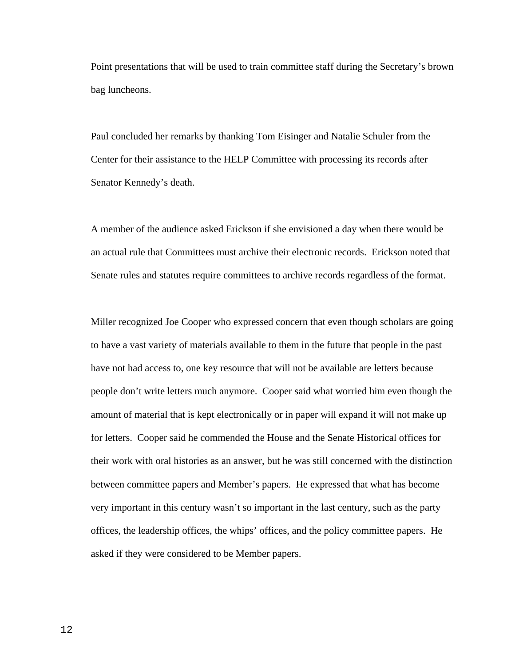Point presentations that will be used to train committee staff during the Secretary's brown bag luncheons.

Paul concluded her remarks by thanking Tom Eisinger and Natalie Schuler from the Center for their assistance to the HELP Committee with processing its records after Senator Kennedy's death.

A member of the audience asked Erickson if she envisioned a day when there would be an actual rule that Committees must archive their electronic records. Erickson noted that Senate rules and statutes require committees to archive records regardless of the format.

Miller recognized Joe Cooper who expressed concern that even though scholars are going to have a vast variety of materials available to them in the future that people in the past have not had access to, one key resource that will not be available are letters because people don't write letters much anymore. Cooper said what worried him even though the amount of material that is kept electronically or in paper will expand it will not make up for letters. Cooper said he commended the House and the Senate Historical offices for their work with oral histories as an answer, but he was still concerned with the distinction between committee papers and Member's papers. He expressed that what has become very important in this century wasn't so important in the last century, such as the party offices, the leadership offices, the whips' offices, and the policy committee papers. He asked if they were considered to be Member papers.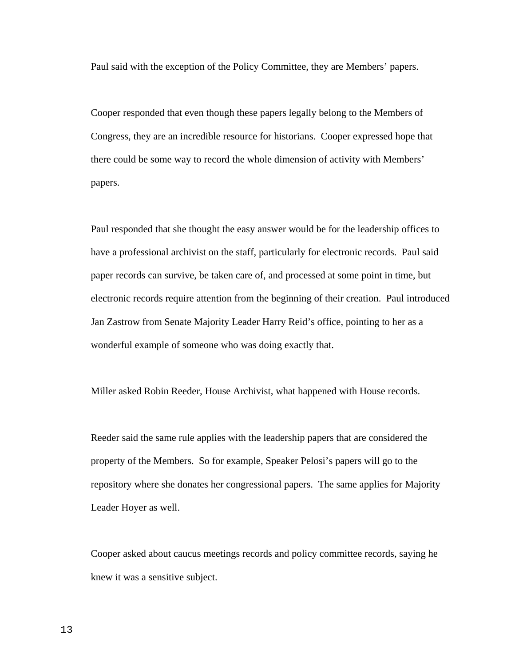Paul said with the exception of the Policy Committee, they are Members' papers.

Cooper responded that even though these papers legally belong to the Members of Congress, they are an incredible resource for historians. Cooper expressed hope that there could be some way to record the whole dimension of activity with Members' papers.

Paul responded that she thought the easy answer would be for the leadership offices to have a professional archivist on the staff, particularly for electronic records. Paul said paper records can survive, be taken care of, and processed at some point in time, but electronic records require attention from the beginning of their creation. Paul introduced Jan Zastrow from Senate Majority Leader Harry Reid's office, pointing to her as a wonderful example of someone who was doing exactly that.

Miller asked Robin Reeder, House Archivist, what happened with House records.

Reeder said the same rule applies with the leadership papers that are considered the property of the Members. So for example, Speaker Pelosi's papers will go to the repository where she donates her congressional papers. The same applies for Majority Leader Hoyer as well.

Cooper asked about caucus meetings records and policy committee records, saying he knew it was a sensitive subject.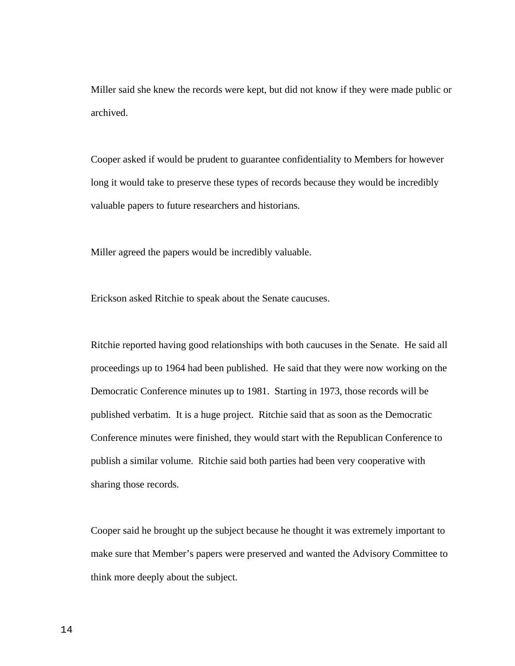Miller said she knew the records were kept, but did not know if they were made public or archived.

Cooper asked if would be prudent to guarantee confidentiality to Members for however long it would take to preserve these types of records because they would be incredibly valuable papers to future researchers and historians.

Miller agreed the papers would be incredibly valuable.

Erickson asked Ritchie to speak about the Senate caucuses.

Ritchie reported having good relationships with both caucuses in the Senate. He said all proceedings up to 1964 had been published. He said that they were now working on the Democratic Conference minutes up to 1981. Starting in 1973, those records will be published verbatim. It is a huge project. Ritchie said that as soon as the Democratic Conference minutes were finished, they would start with the Republican Conference to publish a similar volume. Ritchie said both parties had been very cooperative with sharing those records.

Cooper said he brought up the subject because he thought it was extremely important to make sure that Member's papers were preserved and wanted the Advisory Committee to think more deeply about the subject.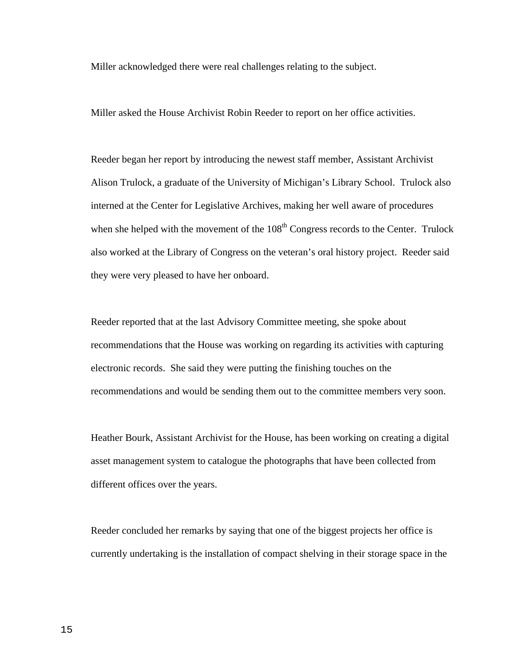Miller acknowledged there were real challenges relating to the subject.

Miller asked the House Archivist Robin Reeder to report on her office activities.

Reeder began her report by introducing the newest staff member, Assistant Archivist Alison Trulock, a graduate of the University of Michigan's Library School. Trulock also interned at the Center for Legislative Archives, making her well aware of procedures when she helped with the movement of the  $108<sup>th</sup>$  Congress records to the Center. Trulock also worked at the Library of Congress on the veteran's oral history project. Reeder said they were very pleased to have her onboard.

Reeder reported that at the last Advisory Committee meeting, she spoke about recommendations that the House was working on regarding its activities with capturing electronic records. She said they were putting the finishing touches on the recommendations and would be sending them out to the committee members very soon.

Heather Bourk, Assistant Archivist for the House, has been working on creating a digital asset management system to catalogue the photographs that have been collected from different offices over the years.

Reeder concluded her remarks by saying that one of the biggest projects her office is currently undertaking is the installation of compact shelving in their storage space in the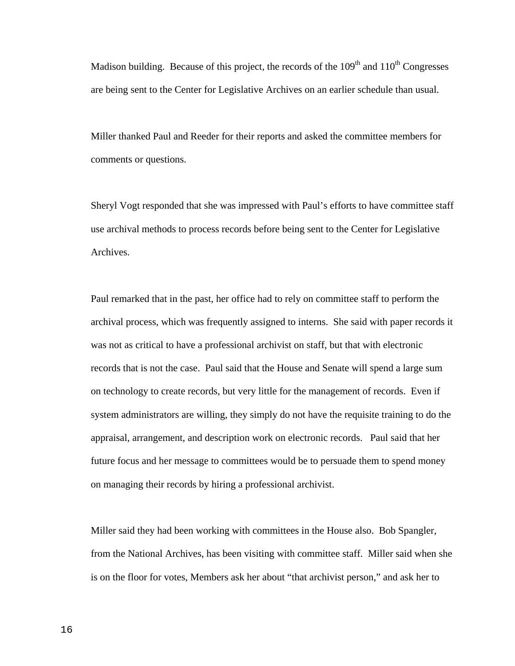Madison building. Because of this project, the records of the  $109<sup>th</sup>$  and  $110<sup>th</sup>$  Congresses are being sent to the Center for Legislative Archives on an earlier schedule than usual.

Miller thanked Paul and Reeder for their reports and asked the committee members for comments or questions.

Sheryl Vogt responded that she was impressed with Paul's efforts to have committee staff use archival methods to process records before being sent to the Center for Legislative Archives.

Paul remarked that in the past, her office had to rely on committee staff to perform the archival process, which was frequently assigned to interns. She said with paper records it was not as critical to have a professional archivist on staff, but that with electronic records that is not the case. Paul said that the House and Senate will spend a large sum on technology to create records, but very little for the management of records. Even if system administrators are willing, they simply do not have the requisite training to do the appraisal, arrangement, and description work on electronic records. Paul said that her future focus and her message to committees would be to persuade them to spend money on managing their records by hiring a professional archivist.

Miller said they had been working with committees in the House also. Bob Spangler, from the National Archives, has been visiting with committee staff. Miller said when she is on the floor for votes, Members ask her about "that archivist person," and ask her to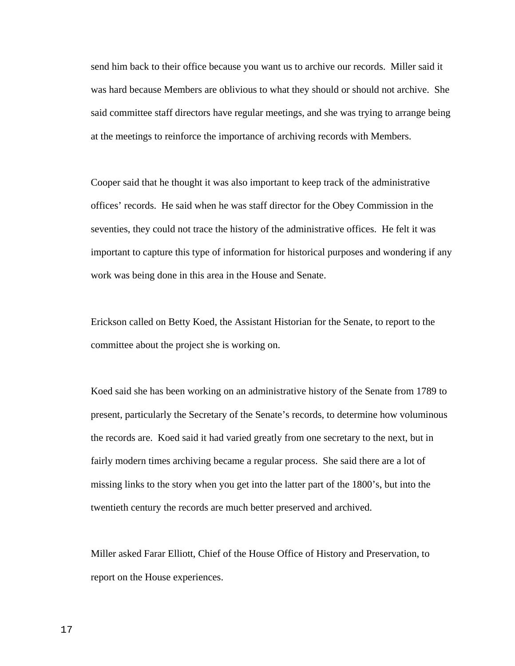send him back to their office because you want us to archive our records. Miller said it was hard because Members are oblivious to what they should or should not archive. She said committee staff directors have regular meetings, and she was trying to arrange being at the meetings to reinforce the importance of archiving records with Members.

Cooper said that he thought it was also important to keep track of the administrative offices' records. He said when he was staff director for the Obey Commission in the seventies, they could not trace the history of the administrative offices. He felt it was important to capture this type of information for historical purposes and wondering if any work was being done in this area in the House and Senate.

Erickson called on Betty Koed, the Assistant Historian for the Senate, to report to the committee about the project she is working on.

Koed said she has been working on an administrative history of the Senate from 1789 to present, particularly the Secretary of the Senate's records, to determine how voluminous the records are. Koed said it had varied greatly from one secretary to the next, but in fairly modern times archiving became a regular process. She said there are a lot of missing links to the story when you get into the latter part of the 1800's, but into the twentieth century the records are much better preserved and archived.

Miller asked Farar Elliott, Chief of the House Office of History and Preservation, to report on the House experiences.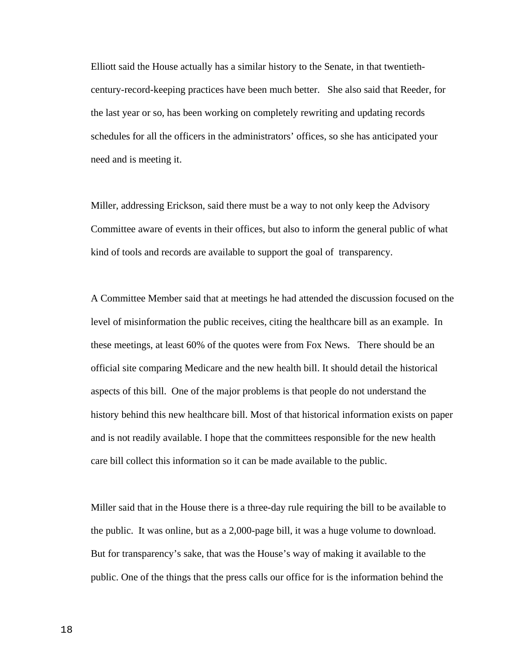Elliott said the House actually has a similar history to the Senate, in that twentiethcentury-record-keeping practices have been much better. She also said that Reeder, for the last year or so, has been working on completely rewriting and updating records schedules for all the officers in the administrators' offices, so she has anticipated your need and is meeting it.

Miller, addressing Erickson, said there must be a way to not only keep the Advisory Committee aware of events in their offices, but also to inform the general public of what kind of tools and records are available to support the goal of transparency.

A Committee Member said that at meetings he had attended the discussion focused on the level of misinformation the public receives, citing the healthcare bill as an example. In these meetings, at least 60% of the quotes were from Fox News. There should be an official site comparing Medicare and the new health bill. It should detail the historical aspects of this bill. One of the major problems is that people do not understand the history behind this new healthcare bill. Most of that historical information exists on paper and is not readily available. I hope that the committees responsible for the new health care bill collect this information so it can be made available to the public.

Miller said that in the House there is a three-day rule requiring the bill to be available to the public. It was online, but as a 2,000-page bill, it was a huge volume to download. But for transparency's sake, that was the House's way of making it available to the public. One of the things that the press calls our office for is the information behind the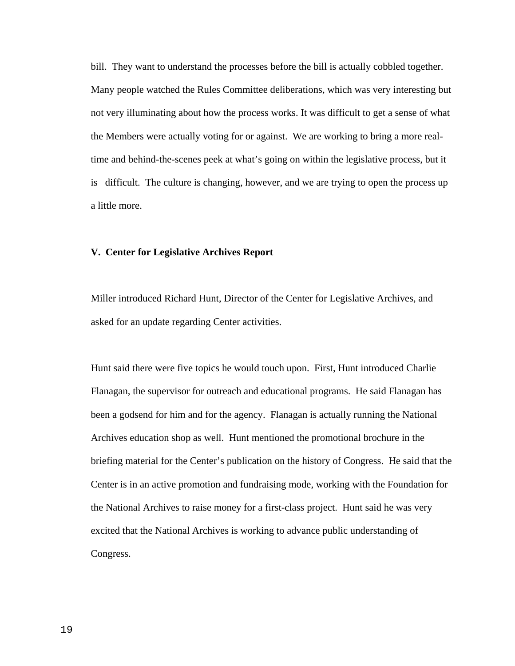bill. They want to understand the processes before the bill is actually cobbled together. Many people watched the Rules Committee deliberations, which was very interesting but not very illuminating about how the process works. It was difficult to get a sense of what the Members were actually voting for or against. We are working to bring a more realtime and behind-the-scenes peek at what's going on within the legislative process, but it is difficult. The culture is changing, however, and we are trying to open the process up a little more.

#### **V. Center for Legislative Archives Report**

Miller introduced Richard Hunt, Director of the Center for Legislative Archives, and asked for an update regarding Center activities.

Hunt said there were five topics he would touch upon. First, Hunt introduced Charlie Flanagan, the supervisor for outreach and educational programs. He said Flanagan has been a godsend for him and for the agency. Flanagan is actually running the National Archives education shop as well. Hunt mentioned the promotional brochure in the briefing material for the Center's publication on the history of Congress. He said that the Center is in an active promotion and fundraising mode, working with the Foundation for the National Archives to raise money for a first-class project. Hunt said he was very excited that the National Archives is working to advance public understanding of Congress.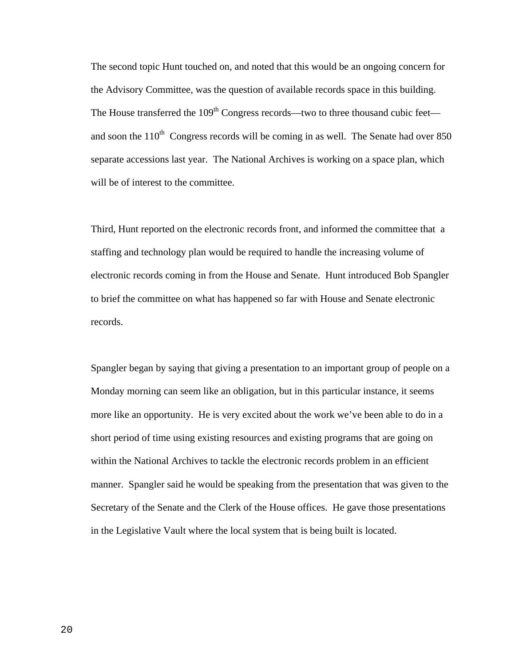The second topic Hunt touched on, and noted that this would be an ongoing concern for the Advisory Committee, was the question of available records space in this building. The House transferred the  $109<sup>th</sup>$  Congress records—two to three thousand cubic feet and soon the  $110<sup>th</sup>$  Congress records will be coming in as well. The Senate had over 850 separate accessions last year. The National Archives is working on a space plan, which will be of interest to the committee.

Third, Hunt reported on the electronic records front, and informed the committee that a staffing and technology plan would be required to handle the increasing volume of electronic records coming in from the House and Senate. Hunt introduced Bob Spangler to brief the committee on what has happened so far with House and Senate electronic records.

Spangler began by saying that giving a presentation to an important group of people on a Monday morning can seem like an obligation, but in this particular instance, it seems more like an opportunity. He is very excited about the work we've been able to do in a short period of time using existing resources and existing programs that are going on within the National Archives to tackle the electronic records problem in an efficient manner. Spangler said he would be speaking from the presentation that was given to the Secretary of the Senate and the Clerk of the House offices. He gave those presentations in the Legislative Vault where the local system that is being built is located.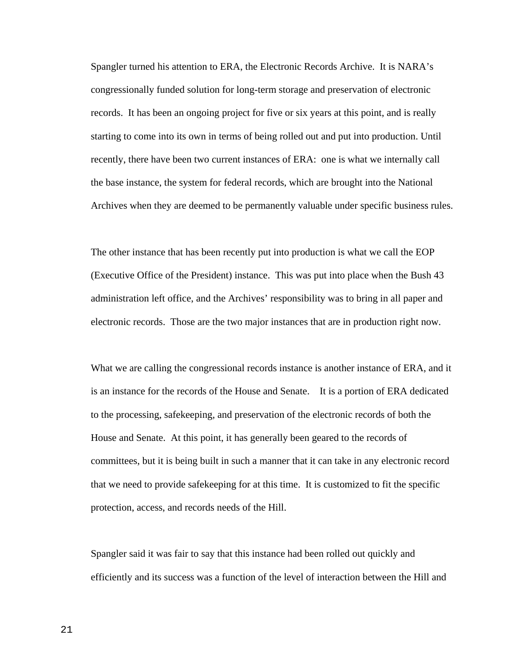Spangler turned his attention to ERA, the Electronic Records Archive. It is NARA's congressionally funded solution for long-term storage and preservation of electronic records. It has been an ongoing project for five or six years at this point, and is really starting to come into its own in terms of being rolled out and put into production. Until recently, there have been two current instances of ERA: one is what we internally call the base instance, the system for federal records, which are brought into the National Archives when they are deemed to be permanently valuable under specific business rules.

The other instance that has been recently put into production is what we call the EOP (Executive Office of the President) instance. This was put into place when the Bush 43 administration left office, and the Archives' responsibility was to bring in all paper and electronic records. Those are the two major instances that are in production right now.

What we are calling the congressional records instance is another instance of ERA, and it is an instance for the records of the House and Senate. It is a portion of ERA dedicated to the processing, safekeeping, and preservation of the electronic records of both the House and Senate. At this point, it has generally been geared to the records of committees, but it is being built in such a manner that it can take in any electronic record that we need to provide safekeeping for at this time. It is customized to fit the specific protection, access, and records needs of the Hill.

Spangler said it was fair to say that this instance had been rolled out quickly and efficiently and its success was a function of the level of interaction between the Hill and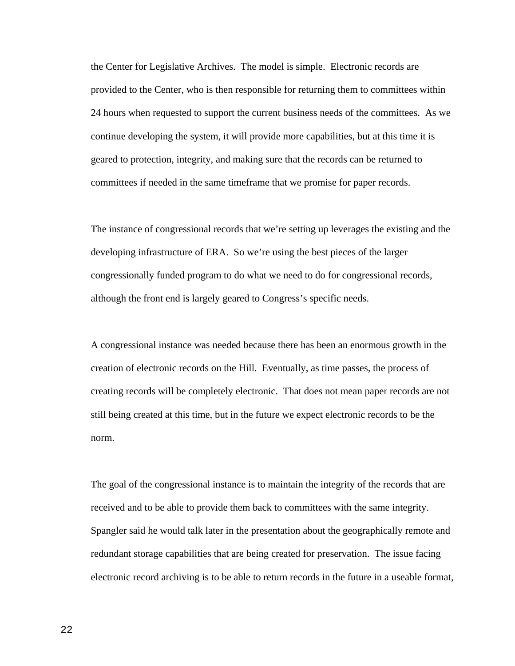the Center for Legislative Archives. The model is simple. Electronic records are provided to the Center, who is then responsible for returning them to committees within 24 hours when requested to support the current business needs of the committees. As we continue developing the system, it will provide more capabilities, but at this time it is geared to protection, integrity, and making sure that the records can be returned to committees if needed in the same timeframe that we promise for paper records.

The instance of congressional records that we're setting up leverages the existing and the developing infrastructure of ERA. So we're using the best pieces of the larger congressionally funded program to do what we need to do for congressional records, although the front end is largely geared to Congress's specific needs.

A congressional instance was needed because there has been an enormous growth in the creation of electronic records on the Hill. Eventually, as time passes, the process of creating records will be completely electronic. That does not mean paper records are not still being created at this time, but in the future we expect electronic records to be the norm.

The goal of the congressional instance is to maintain the integrity of the records that are received and to be able to provide them back to committees with the same integrity. Spangler said he would talk later in the presentation about the geographically remote and redundant storage capabilities that are being created for preservation. The issue facing electronic record archiving is to be able to return records in the future in a useable format,

22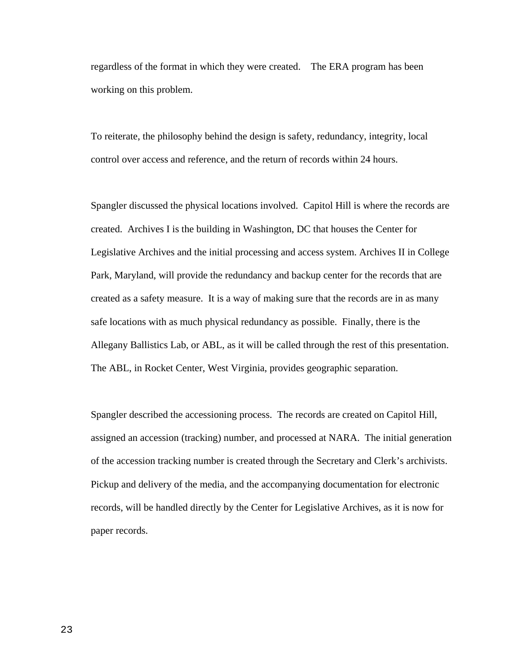regardless of the format in which they were created. The ERA program has been working on this problem.

To reiterate, the philosophy behind the design is safety, redundancy, integrity, local control over access and reference, and the return of records within 24 hours.

Spangler discussed the physical locations involved. Capitol Hill is where the records are created. Archives I is the building in Washington, DC that houses the Center for Legislative Archives and the initial processing and access system. Archives II in College Park, Maryland, will provide the redundancy and backup center for the records that are created as a safety measure. It is a way of making sure that the records are in as many safe locations with as much physical redundancy as possible. Finally, there is the Allegany Ballistics Lab, or ABL, as it will be called through the rest of this presentation. The ABL, in Rocket Center, West Virginia, provides geographic separation.

Spangler described the accessioning process. The records are created on Capitol Hill, assigned an accession (tracking) number, and processed at NARA. The initial generation of the accession tracking number is created through the Secretary and Clerk's archivists. Pickup and delivery of the media, and the accompanying documentation for electronic records, will be handled directly by the Center for Legislative Archives, as it is now for paper records.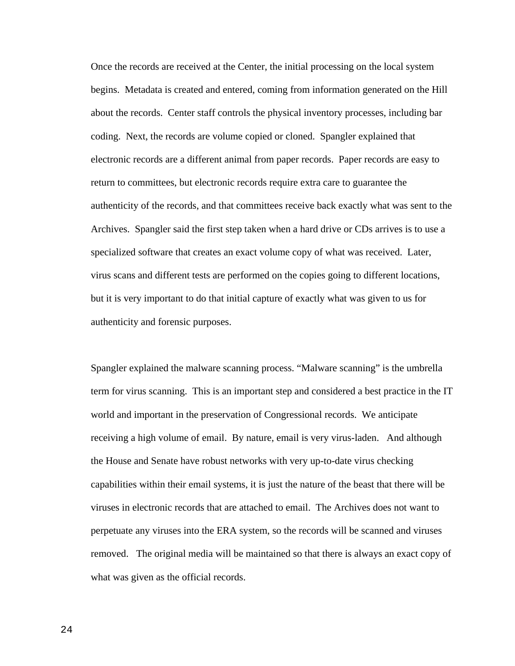Once the records are received at the Center, the initial processing on the local system begins. Metadata is created and entered, coming from information generated on the Hill about the records. Center staff controls the physical inventory processes, including bar coding. Next, the records are volume copied or cloned. Spangler explained that electronic records are a different animal from paper records. Paper records are easy to return to committees, but electronic records require extra care to guarantee the authenticity of the records, and that committees receive back exactly what was sent to the Archives. Spangler said the first step taken when a hard drive or CDs arrives is to use a specialized software that creates an exact volume copy of what was received. Later, virus scans and different tests are performed on the copies going to different locations, but it is very important to do that initial capture of exactly what was given to us for authenticity and forensic purposes.

Spangler explained the malware scanning process. "Malware scanning" is the umbrella term for virus scanning. This is an important step and considered a best practice in the IT world and important in the preservation of Congressional records. We anticipate receiving a high volume of email. By nature, email is very virus-laden. And although the House and Senate have robust networks with very up-to-date virus checking capabilities within their email systems, it is just the nature of the beast that there will be viruses in electronic records that are attached to email. The Archives does not want to perpetuate any viruses into the ERA system, so the records will be scanned and viruses removed. The original media will be maintained so that there is always an exact copy of what was given as the official records.

24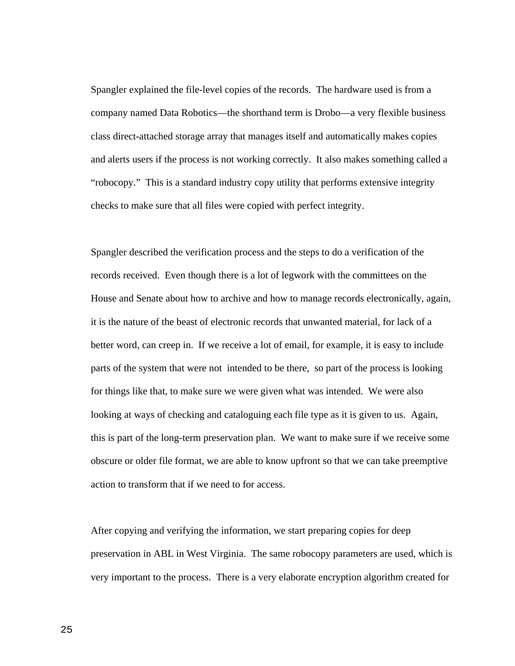Spangler explained the file-level copies of the records. The hardware used is from a company named Data Robotics—the shorthand term is Drobo—a very flexible business class direct-attached storage array that manages itself and automatically makes copies and alerts users if the process is not working correctly. It also makes something called a "robocopy." This is a standard industry copy utility that performs extensive integrity checks to make sure that all files were copied with perfect integrity.

Spangler described the verification process and the steps to do a verification of the records received. Even though there is a lot of legwork with the committees on the House and Senate about how to archive and how to manage records electronically, again, it is the nature of the beast of electronic records that unwanted material, for lack of a better word, can creep in. If we receive a lot of email, for example, it is easy to include parts of the system that were not intended to be there, so part of the process is looking for things like that, to make sure we were given what was intended. We were also looking at ways of checking and cataloguing each file type as it is given to us. Again, this is part of the long-term preservation plan. We want to make sure if we receive some obscure or older file format, we are able to know upfront so that we can take preemptive action to transform that if we need to for access.

After copying and verifying the information, we start preparing copies for deep preservation in ABL in West Virginia. The same robocopy parameters are used, which is very important to the process. There is a very elaborate encryption algorithm created for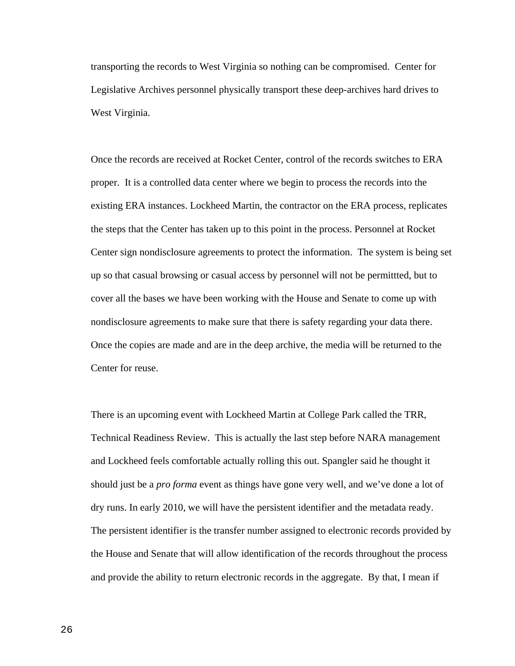transporting the records to West Virginia so nothing can be compromised. Center for Legislative Archives personnel physically transport these deep-archives hard drives to West Virginia.

Once the records are received at Rocket Center, control of the records switches to ERA proper. It is a controlled data center where we begin to process the records into the existing ERA instances. Lockheed Martin, the contractor on the ERA process, replicates the steps that the Center has taken up to this point in the process. Personnel at Rocket Center sign nondisclosure agreements to protect the information. The system is being set up so that casual browsing or casual access by personnel will not be permittted, but to cover all the bases we have been working with the House and Senate to come up with nondisclosure agreements to make sure that there is safety regarding your data there. Once the copies are made and are in the deep archive, the media will be returned to the Center for reuse.

There is an upcoming event with Lockheed Martin at College Park called the TRR, Technical Readiness Review. This is actually the last step before NARA management and Lockheed feels comfortable actually rolling this out. Spangler said he thought it should just be a *pro forma* event as things have gone very well, and we've done a lot of dry runs. In early 2010, we will have the persistent identifier and the metadata ready. The persistent identifier is the transfer number assigned to electronic records provided by the House and Senate that will allow identification of the records throughout the process and provide the ability to return electronic records in the aggregate. By that, I mean if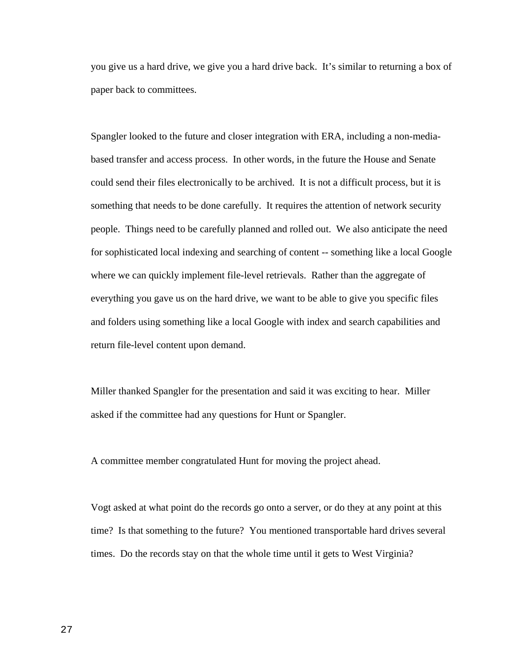you give us a hard drive, we give you a hard drive back. It's similar to returning a box of paper back to committees.

Spangler looked to the future and closer integration with ERA, including a non-mediabased transfer and access process. In other words, in the future the House and Senate could send their files electronically to be archived. It is not a difficult process, but it is something that needs to be done carefully. It requires the attention of network security people. Things need to be carefully planned and rolled out. We also anticipate the need for sophisticated local indexing and searching of content -- something like a local Google where we can quickly implement file-level retrievals. Rather than the aggregate of everything you gave us on the hard drive, we want to be able to give you specific files and folders using something like a local Google with index and search capabilities and return file-level content upon demand.

Miller thanked Spangler for the presentation and said it was exciting to hear. Miller asked if the committee had any questions for Hunt or Spangler.

A committee member congratulated Hunt for moving the project ahead.

Vogt asked at what point do the records go onto a server, or do they at any point at this time? Is that something to the future? You mentioned transportable hard drives several times. Do the records stay on that the whole time until it gets to West Virginia?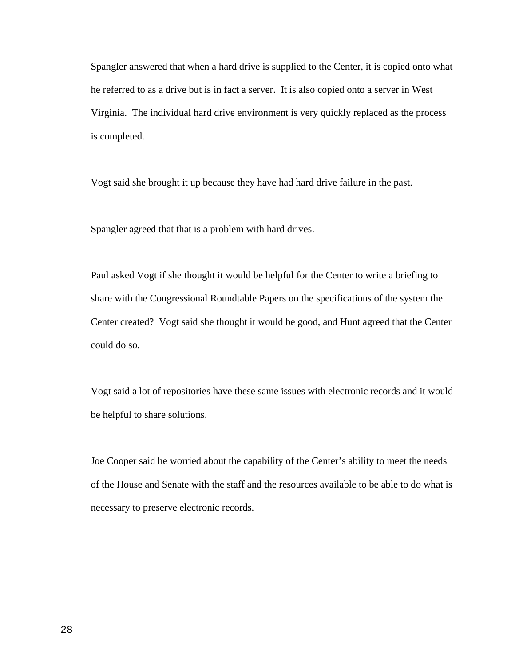Spangler answered that when a hard drive is supplied to the Center, it is copied onto what he referred to as a drive but is in fact a server. It is also copied onto a server in West Virginia. The individual hard drive environment is very quickly replaced as the process is completed.

Vogt said she brought it up because they have had hard drive failure in the past.

Spangler agreed that that is a problem with hard drives.

Paul asked Vogt if she thought it would be helpful for the Center to write a briefing to share with the Congressional Roundtable Papers on the specifications of the system the Center created? Vogt said she thought it would be good, and Hunt agreed that the Center could do so.

Vogt said a lot of repositories have these same issues with electronic records and it would be helpful to share solutions.

Joe Cooper said he worried about the capability of the Center's ability to meet the needs of the House and Senate with the staff and the resources available to be able to do what is necessary to preserve electronic records.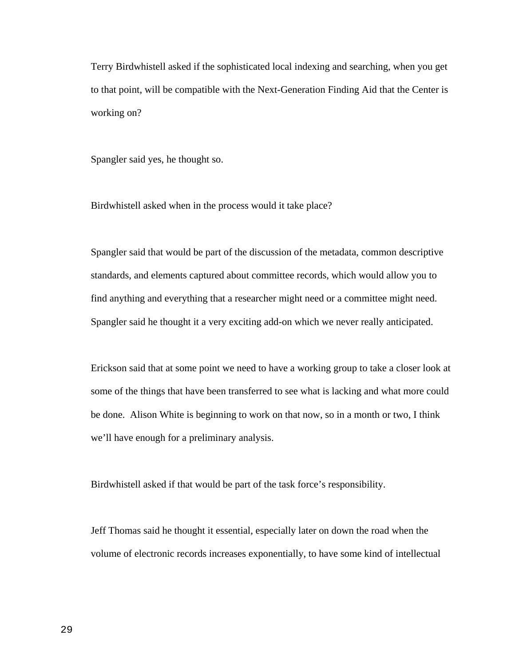Terry Birdwhistell asked if the sophisticated local indexing and searching, when you get to that point, will be compatible with the Next-Generation Finding Aid that the Center is working on?

Spangler said yes, he thought so.

Birdwhistell asked when in the process would it take place?

Spangler said that would be part of the discussion of the metadata, common descriptive standards, and elements captured about committee records, which would allow you to find anything and everything that a researcher might need or a committee might need. Spangler said he thought it a very exciting add-on which we never really anticipated.

Erickson said that at some point we need to have a working group to take a closer look at some of the things that have been transferred to see what is lacking and what more could be done. Alison White is beginning to work on that now, so in a month or two, I think we'll have enough for a preliminary analysis.

Birdwhistell asked if that would be part of the task force's responsibility.

Jeff Thomas said he thought it essential, especially later on down the road when the volume of electronic records increases exponentially, to have some kind of intellectual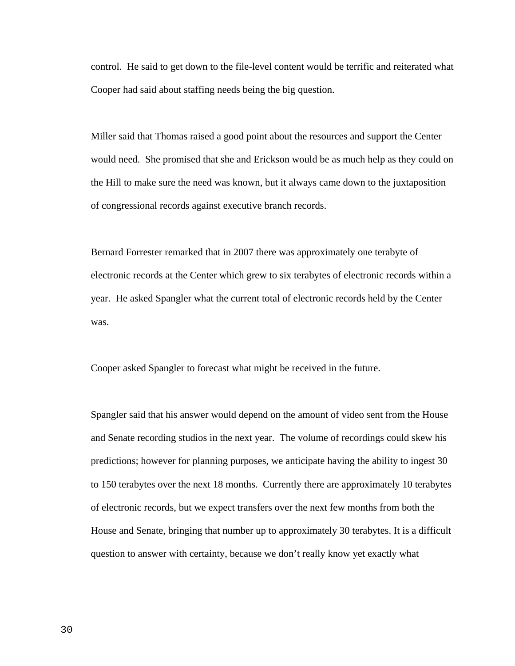control. He said to get down to the file-level content would be terrific and reiterated what Cooper had said about staffing needs being the big question.

Miller said that Thomas raised a good point about the resources and support the Center would need. She promised that she and Erickson would be as much help as they could on the Hill to make sure the need was known, but it always came down to the juxtaposition of congressional records against executive branch records.

Bernard Forrester remarked that in 2007 there was approximately one terabyte of electronic records at the Center which grew to six terabytes of electronic records within a year. He asked Spangler what the current total of electronic records held by the Center was.

Cooper asked Spangler to forecast what might be received in the future.

Spangler said that his answer would depend on the amount of video sent from the House and Senate recording studios in the next year. The volume of recordings could skew his predictions; however for planning purposes, we anticipate having the ability to ingest 30 to 150 terabytes over the next 18 months. Currently there are approximately 10 terabytes of electronic records, but we expect transfers over the next few months from both the House and Senate, bringing that number up to approximately 30 terabytes. It is a difficult question to answer with certainty, because we don't really know yet exactly what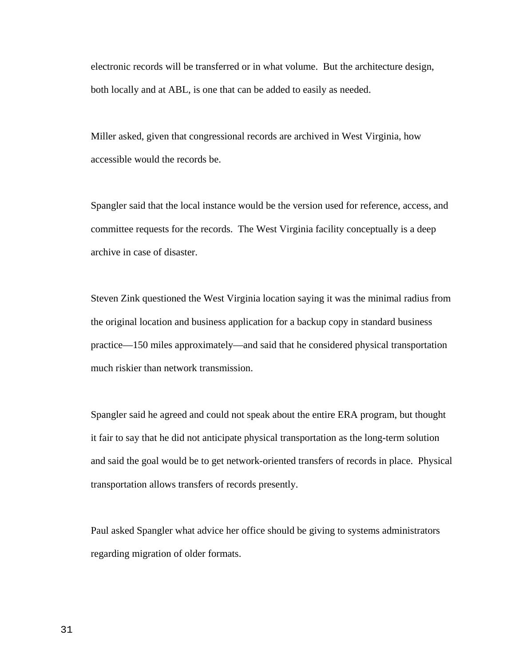electronic records will be transferred or in what volume. But the architecture design, both locally and at ABL, is one that can be added to easily as needed.

Miller asked, given that congressional records are archived in West Virginia, how accessible would the records be.

Spangler said that the local instance would be the version used for reference, access, and committee requests for the records. The West Virginia facility conceptually is a deep archive in case of disaster.

Steven Zink questioned the West Virginia location saying it was the minimal radius from the original location and business application for a backup copy in standard business practice—150 miles approximately—and said that he considered physical transportation much riskier than network transmission.

Spangler said he agreed and could not speak about the entire ERA program, but thought it fair to say that he did not anticipate physical transportation as the long-term solution and said the goal would be to get network-oriented transfers of records in place. Physical transportation allows transfers of records presently.

Paul asked Spangler what advice her office should be giving to systems administrators regarding migration of older formats.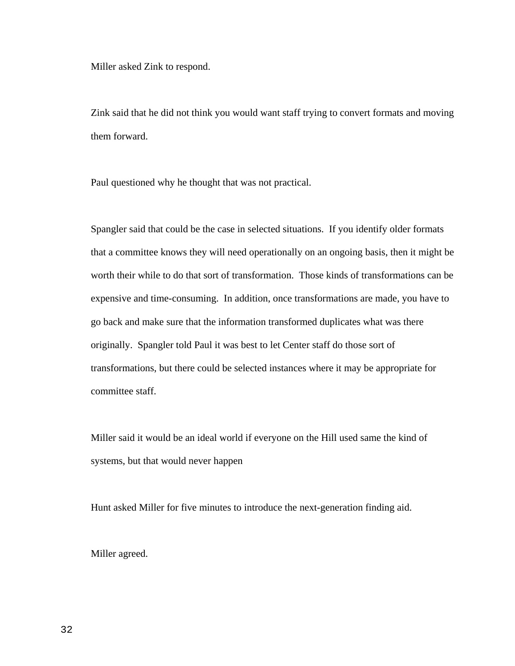Miller asked Zink to respond.

Zink said that he did not think you would want staff trying to convert formats and moving them forward.

Paul questioned why he thought that was not practical.

Spangler said that could be the case in selected situations. If you identify older formats that a committee knows they will need operationally on an ongoing basis, then it might be worth their while to do that sort of transformation. Those kinds of transformations can be expensive and time-consuming. In addition, once transformations are made, you have to go back and make sure that the information transformed duplicates what was there originally. Spangler told Paul it was best to let Center staff do those sort of transformations, but there could be selected instances where it may be appropriate for committee staff.

Miller said it would be an ideal world if everyone on the Hill used same the kind of systems, but that would never happen

Hunt asked Miller for five minutes to introduce the next-generation finding aid.

Miller agreed.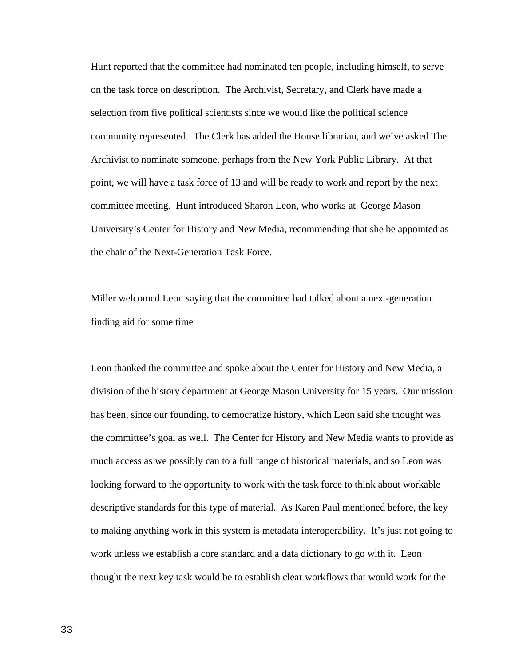Hunt reported that the committee had nominated ten people, including himself, to serve on the task force on description. The Archivist, Secretary, and Clerk have made a selection from five political scientists since we would like the political science community represented. The Clerk has added the House librarian, and we've asked The Archivist to nominate someone, perhaps from the New York Public Library. At that point, we will have a task force of 13 and will be ready to work and report by the next committee meeting. Hunt introduced Sharon Leon, who works at George Mason University's Center for History and New Media, recommending that she be appointed as the chair of the Next-Generation Task Force.

Miller welcomed Leon saying that the committee had talked about a next-generation finding aid for some time

Leon thanked the committee and spoke about the Center for History and New Media, a division of the history department at George Mason University for 15 years. Our mission has been, since our founding, to democratize history, which Leon said she thought was the committee's goal as well. The Center for History and New Media wants to provide as much access as we possibly can to a full range of historical materials, and so Leon was looking forward to the opportunity to work with the task force to think about workable descriptive standards for this type of material. As Karen Paul mentioned before, the key to making anything work in this system is metadata interoperability. It's just not going to work unless we establish a core standard and a data dictionary to go with it. Leon thought the next key task would be to establish clear workflows that would work for the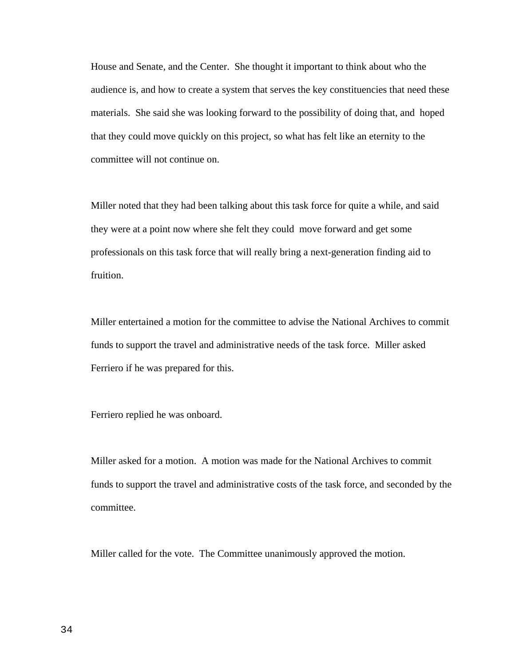House and Senate, and the Center. She thought it important to think about who the audience is, and how to create a system that serves the key constituencies that need these materials. She said she was looking forward to the possibility of doing that, and hoped that they could move quickly on this project, so what has felt like an eternity to the committee will not continue on.

Miller noted that they had been talking about this task force for quite a while, and said they were at a point now where she felt they could move forward and get some professionals on this task force that will really bring a next-generation finding aid to fruition.

Miller entertained a motion for the committee to advise the National Archives to commit funds to support the travel and administrative needs of the task force. Miller asked Ferriero if he was prepared for this.

Ferriero replied he was onboard.

Miller asked for a motion. A motion was made for the National Archives to commit funds to support the travel and administrative costs of the task force, and seconded by the committee.

Miller called for the vote. The Committee unanimously approved the motion.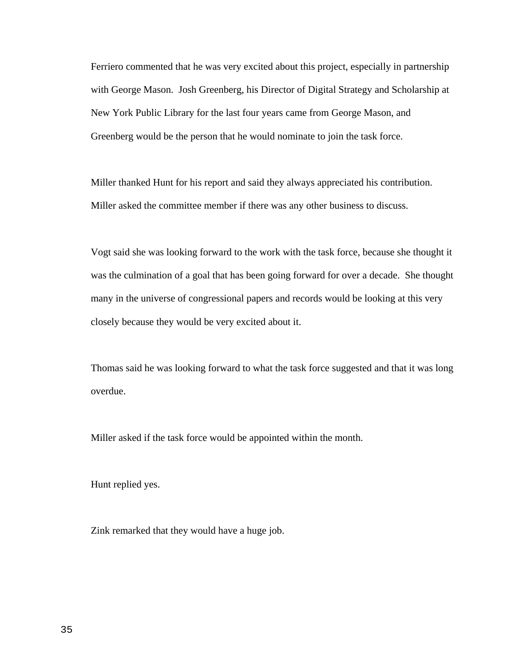Ferriero commented that he was very excited about this project, especially in partnership with George Mason. Josh Greenberg, his Director of Digital Strategy and Scholarship at New York Public Library for the last four years came from George Mason, and Greenberg would be the person that he would nominate to join the task force.

Miller thanked Hunt for his report and said they always appreciated his contribution. Miller asked the committee member if there was any other business to discuss.

Vogt said she was looking forward to the work with the task force, because she thought it was the culmination of a goal that has been going forward for over a decade. She thought many in the universe of congressional papers and records would be looking at this very closely because they would be very excited about it.

Thomas said he was looking forward to what the task force suggested and that it was long overdue.

Miller asked if the task force would be appointed within the month.

Hunt replied yes.

Zink remarked that they would have a huge job.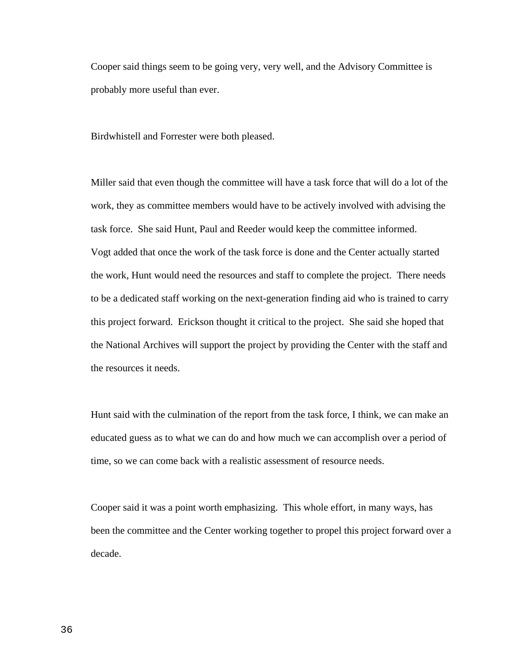Cooper said things seem to be going very, very well, and the Advisory Committee is probably more useful than ever.

Birdwhistell and Forrester were both pleased.

Miller said that even though the committee will have a task force that will do a lot of the work, they as committee members would have to be actively involved with advising the task force. She said Hunt, Paul and Reeder would keep the committee informed. Vogt added that once the work of the task force is done and the Center actually started the work, Hunt would need the resources and staff to complete the project. There needs to be a dedicated staff working on the next-generation finding aid who is trained to carry this project forward. Erickson thought it critical to the project. She said she hoped that the National Archives will support the project by providing the Center with the staff and the resources it needs.

Hunt said with the culmination of the report from the task force, I think, we can make an educated guess as to what we can do and how much we can accomplish over a period of time, so we can come back with a realistic assessment of resource needs.

Cooper said it was a point worth emphasizing. This whole effort, in many ways, has been the committee and the Center working together to propel this project forward over a decade.